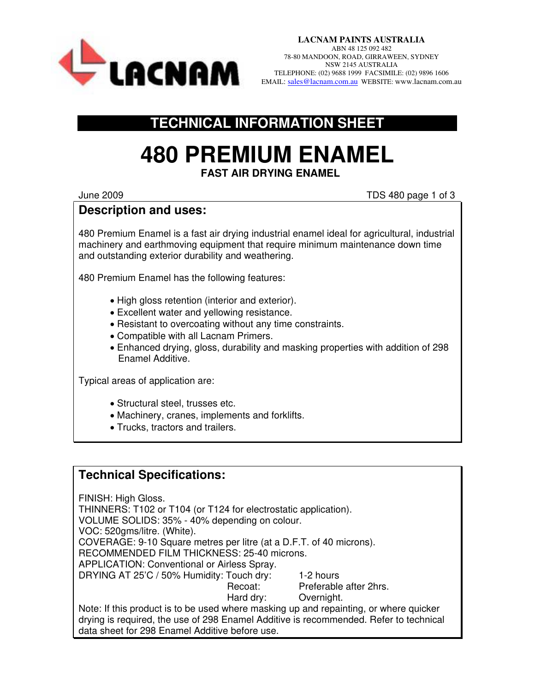

**LACNAM PAINTS AUSTRALIA**  ABN 48 125 092 482 78-80 MANDOON, ROAD, GIRRAWEEN, SYDNEY NSW 2145 AUSTRALIA TELEPHONE: (02) 9688 1999 FACSIMILE: (02) 9896 1606 EMAIL: [sales@lacnam.com.au](mailto:sales@lacnam.com.au) WEBSITE: www.lacnam.com.au

## **TECHNICAL INFORMATION SHEET**

## **480 PREMIUM ENAMEL FAST AIR DRYING ENAMEL**

June 2009 TDS 480 page 1 of 3

## **Description and uses:**

480 Premium Enamel is a fast air drying industrial enamel ideal for agricultural, industrial machinery and earthmoving equipment that require minimum maintenance down time and outstanding exterior durability and weathering.

480 Premium Enamel has the following features:

- High gloss retention (interior and exterior).
- Excellent water and yellowing resistance.
- Resistant to overcoating without any time constraints.
- Compatible with all Lacnam Primers.
- Enhanced drying, gloss, durability and masking properties with addition of 298 Enamel Additive.

Typical areas of application are:

- Structural steel, trusses etc.
- Machinery, cranes, implements and forklifts.
- Trucks, tractors and trailers.

## **Technical Specifications:**

FINISH: High Gloss.

THINNERS: T102 or T104 (or T124 for electrostatic application).

VOLUME SOLIDS: 35% - 40% depending on colour.

VOC: 520gms/litre. (White).

COVERAGE: 9-10 Square metres per litre (at a D.F.T. of 40 microns).

RECOMMENDED FILM THICKNESS: 25-40 microns.

APPLICATION: Conventional or Airless Spray.

DRYING AT 25'C / 50% Humidity: Touch dry: 1-2 hours

Recoat: Preferable after 2hrs.

Hard dry: Overnight.

Note: If this product is to be used where masking up and repainting, or where quicker drying is required, the use of 298 Enamel Additive is recommended. Refer to technical data sheet for 298 Enamel Additive before use.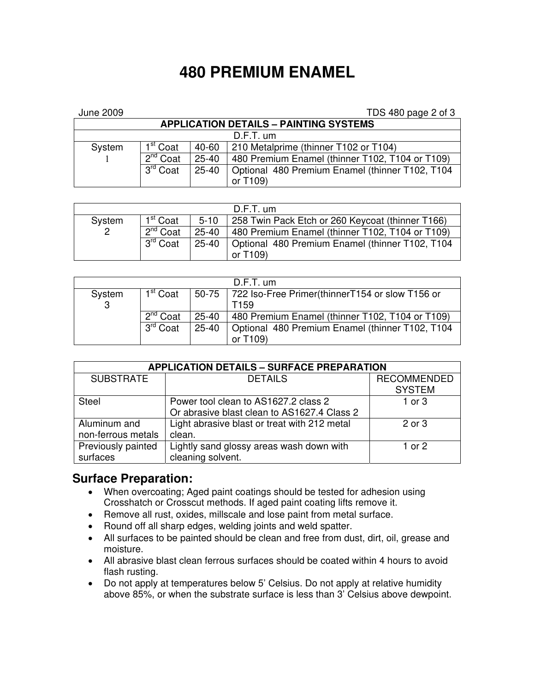# **480 PREMIUM ENAMEL**

| <b>June 2009</b>                              |                      |                                                              | TDS 480 page 2 of 3                             |  |  |  |  |  |
|-----------------------------------------------|----------------------|--------------------------------------------------------------|-------------------------------------------------|--|--|--|--|--|
| <b>APPLICATION DETAILS - PAINTING SYSTEMS</b> |                      |                                                              |                                                 |  |  |  |  |  |
| $D.F.T.$ um                                   |                      |                                                              |                                                 |  |  |  |  |  |
| System                                        | 1 <sup>st</sup> Coat | 40-60                                                        | 210 Metalprime (thinner T102 or T104)           |  |  |  |  |  |
|                                               | $2^{nd}$ Coat        | 480 Premium Enamel (thinner T102, T104 or T109)<br>$25 - 40$ |                                                 |  |  |  |  |  |
|                                               | 3 <sup>rd</sup> Coat | $25 - 40$                                                    | Optional 480 Premium Enamel (thinner T102, T104 |  |  |  |  |  |
|                                               |                      |                                                              | or T109)                                        |  |  |  |  |  |

| $D.F.T.$ um |                         |                                                              |                                                         |  |  |  |
|-------------|-------------------------|--------------------------------------------------------------|---------------------------------------------------------|--|--|--|
| System      | 1 <sup>st</sup> Coat    | 258 Twin Pack Etch or 260 Keycoat (thinner T166)<br>$5 - 10$ |                                                         |  |  |  |
| 2           | $2nd$ Coat<br>$25 - 40$ |                                                              | 480 Premium Enamel (thinner T102, T104 or T109)         |  |  |  |
|             | 3 <sup>rd</sup> Coat    |                                                              | 25-40   Optional 480 Premium Enamel (thinner T102, T104 |  |  |  |
|             |                         |                                                              | or T109)                                                |  |  |  |

| $D.F.T.$ um |                      |           |                                                         |  |  |  |
|-------------|----------------------|-----------|---------------------------------------------------------|--|--|--|
| System      | 1 <sup>st</sup> Coat |           | 50-75   722 Iso-Free Primer(thinnerT154 or slow T156 or |  |  |  |
| 3           |                      |           | T <sub>159</sub>                                        |  |  |  |
|             | $2^{nd}$ Coat        |           | 25-40   480 Premium Enamel (thinner T102, T104 or T109) |  |  |  |
|             | 3 <sup>rd</sup> Coat | $25 - 40$ | Optional 480 Premium Enamel (thinner T102, T104         |  |  |  |
|             |                      |           | or $T109$                                               |  |  |  |

| <b>APPLICATION DETAILS - SURFACE PREPARATION</b> |                                              |                    |  |  |  |  |  |
|--------------------------------------------------|----------------------------------------------|--------------------|--|--|--|--|--|
| <b>SUBSTRATE</b>                                 | <b>DETAILS</b>                               | <b>RECOMMENDED</b> |  |  |  |  |  |
|                                                  |                                              | <b>SYSTEM</b>      |  |  |  |  |  |
| <b>Steel</b>                                     | Power tool clean to AS1627.2 class 2         | 1 or $3$           |  |  |  |  |  |
|                                                  | Or abrasive blast clean to AS1627.4 Class 2  |                    |  |  |  |  |  |
| Aluminum and                                     | Light abrasive blast or treat with 212 metal | 2 or 3             |  |  |  |  |  |
| non-ferrous metals                               | clean.                                       |                    |  |  |  |  |  |
| Previously painted                               | Lightly sand glossy areas wash down with     | 1 or $2$           |  |  |  |  |  |
| surfaces                                         | cleaning solvent.                            |                    |  |  |  |  |  |

#### **Surface Preparation:**

- When overcoating; Aged paint coatings should be tested for adhesion using Crosshatch or Crosscut methods. If aged paint coating lifts remove it.
- Remove all rust, oxides, millscale and lose paint from metal surface.
- Round off all sharp edges, welding joints and weld spatter.
- All surfaces to be painted should be clean and free from dust, dirt, oil, grease and moisture.
- All abrasive blast clean ferrous surfaces should be coated within 4 hours to avoid flash rusting.
- Do not apply at temperatures below 5' Celsius. Do not apply at relative humidity above 85%, or when the substrate surface is less than 3' Celsius above dewpoint.